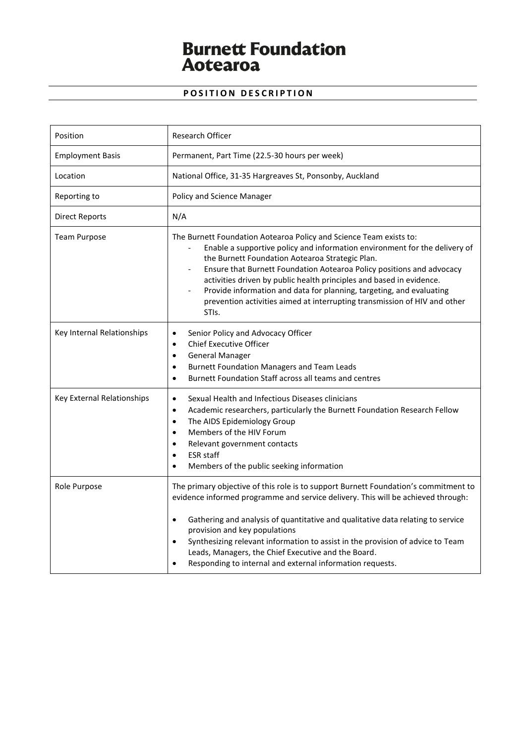# **Burnett Foundation<br>Aotearoa**

# **POSITION DESCRIPTION**

| Position                   | <b>Research Officer</b>                                                                                                                                                                                                                                                                                                                                                                                                                                                                                                         |
|----------------------------|---------------------------------------------------------------------------------------------------------------------------------------------------------------------------------------------------------------------------------------------------------------------------------------------------------------------------------------------------------------------------------------------------------------------------------------------------------------------------------------------------------------------------------|
| <b>Employment Basis</b>    | Permanent, Part Time (22.5-30 hours per week)                                                                                                                                                                                                                                                                                                                                                                                                                                                                                   |
| Location                   | National Office, 31-35 Hargreaves St, Ponsonby, Auckland                                                                                                                                                                                                                                                                                                                                                                                                                                                                        |
| Reporting to               | Policy and Science Manager                                                                                                                                                                                                                                                                                                                                                                                                                                                                                                      |
| Direct Reports             | N/A                                                                                                                                                                                                                                                                                                                                                                                                                                                                                                                             |
| <b>Team Purpose</b>        | The Burnett Foundation Aotearoa Policy and Science Team exists to:<br>Enable a supportive policy and information environment for the delivery of<br>the Burnett Foundation Aotearoa Strategic Plan.<br>Ensure that Burnett Foundation Aotearoa Policy positions and advocacy<br>activities driven by public health principles and based in evidence.<br>Provide information and data for planning, targeting, and evaluating<br>prevention activities aimed at interrupting transmission of HIV and other<br>STI <sub>s</sub> . |
| Key Internal Relationships | Senior Policy and Advocacy Officer<br>$\bullet$<br><b>Chief Executive Officer</b><br>$\bullet$<br><b>General Manager</b><br>$\bullet$<br><b>Burnett Foundation Managers and Team Leads</b><br>$\bullet$<br>Burnett Foundation Staff across all teams and centres<br>$\bullet$                                                                                                                                                                                                                                                   |
| Key External Relationships | Sexual Health and Infectious Diseases clinicians<br>$\bullet$<br>Academic researchers, particularly the Burnett Foundation Research Fellow<br>$\bullet$<br>The AIDS Epidemiology Group<br>$\bullet$<br>Members of the HIV Forum<br>$\bullet$<br>Relevant government contacts<br>$\bullet$<br><b>ESR</b> staff<br>$\bullet$<br>Members of the public seeking information                                                                                                                                                         |
| Role Purpose               | The primary objective of this role is to support Burnett Foundation's commitment to<br>evidence informed programme and service delivery. This will be achieved through:<br>Gathering and analysis of quantitative and qualitative data relating to service<br>$\bullet$<br>provision and key populations<br>Synthesizing relevant information to assist in the provision of advice to Team<br>$\bullet$<br>Leads, Managers, the Chief Executive and the Board.<br>Responding to internal and external information requests.     |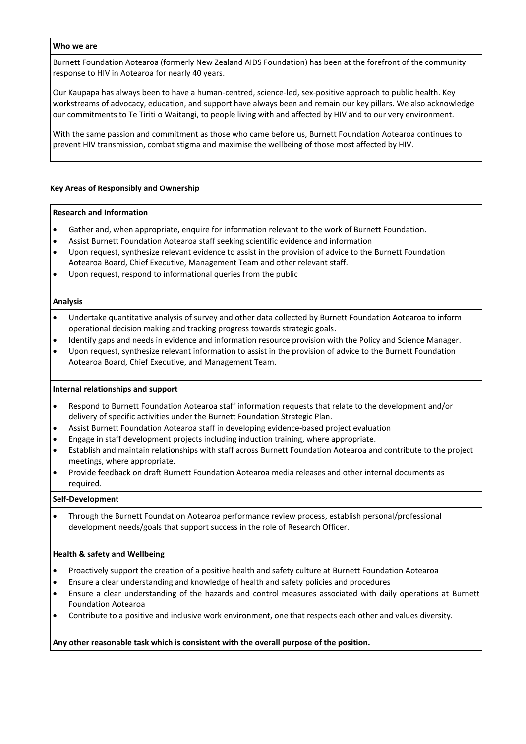#### **Who we are**

Burnett Foundation Aotearoa (formerly New Zealand AIDS Foundation) has been at the forefront of the community response to HIV in Aotearoa for nearly 40 years.

Our Kaupapa has always been to have a human-centred, science-led, sex-positive approach to public health. Key workstreams of advocacy, education, and support have always been and remain our key pillars. We also acknowledge our commitments to Te Tiriti o Waitangi, to people living with and affected by HIV and to our very environment.

With the same passion and commitment as those who came before us, Burnett Foundation Aotearoa continues to prevent HIV transmission, combat stigma and maximise the wellbeing of those most affected by HIV.

# **Key Areas of Responsibly and Ownership**

#### **Research and Information**

- Gather and, when appropriate, enquire for information relevant to the work of Burnett Foundation.
- Assist Burnett Foundation Aotearoa staff seeking scientific evidence and information
- Upon request, synthesize relevant evidence to assist in the provision of advice to the Burnett Foundation Aotearoa Board, Chief Executive, Management Team and other relevant staff.
- Upon request, respond to informational queries from the public

#### **Analysis**

- Undertake quantitative analysis of survey and other data collected by Burnett Foundation Aotearoa to inform operational decision making and tracking progress towards strategic goals.
- Identify gaps and needs in evidence and information resource provision with the Policy and Science Manager.
- Upon request, synthesize relevant information to assist in the provision of advice to the Burnett Foundation Aotearoa Board, Chief Executive, and Management Team.

# **Internal relationships and support**

- Respond to Burnett Foundation Aotearoa staff information requests that relate to the development and/or delivery of specific activities under the Burnett Foundation Strategic Plan.
- Assist Burnett Foundation Aotearoa staff in developing evidence-based project evaluation
- Engage in staff development projects including induction training, where appropriate.
- Establish and maintain relationships with staff across Burnett Foundation Aotearoa and contribute to the project meetings, where appropriate.
- Provide feedback on draft Burnett Foundation Aotearoa media releases and other internal documents as required.

# **Self-Development**

• Through the Burnett Foundation Aotearoa performance review process, establish personal/professional development needs/goals that support success in the role of Research Officer.

# **Health & safety and Wellbeing**

- Proactively support the creation of a positive health and safety culture at Burnett Foundation Aotearoa
- Ensure a clear understanding and knowledge of health and safety policies and procedures
- Ensure a clear understanding of the hazards and control measures associated with daily operations at Burnett Foundation Aotearoa
- Contribute to a positive and inclusive work environment, one that respects each other and values diversity.

# **Any other reasonable task which is consistent with the overall purpose of the position.**